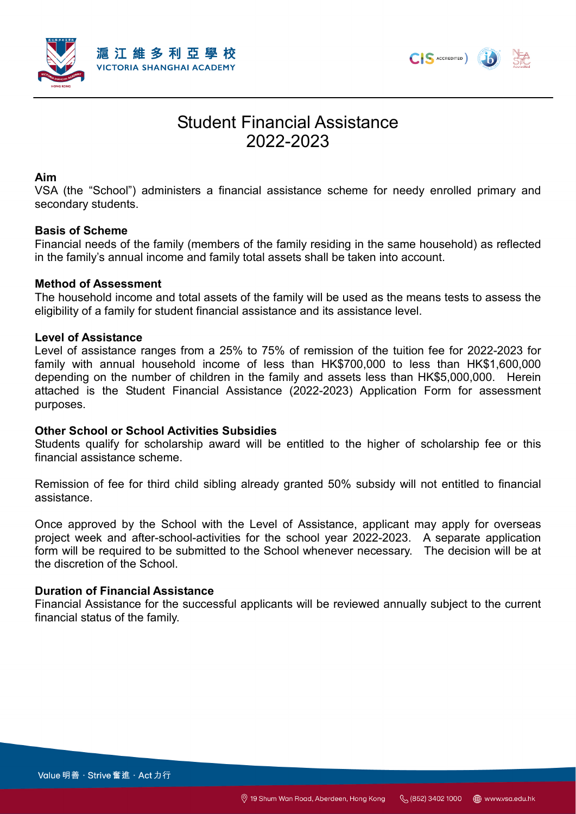



# Student Financial Assistance 2022-2023

### **Aim**

VSA (the "School") administers a financial assistance scheme for needy enrolled primary and secondary students.

## **Basis of Scheme**

Financial needs of the family (members of the family residing in the same household) as reflected in the family's annual income and family total assets shall be taken into account.

## **Method of Assessment**

The household income and total assets of the family will be used as the means tests to assess the eligibility of a family for student financial assistance and its assistance level.

### **Level of Assistance**

Level of assistance ranges from a 25% to 75% of remission of the tuition fee for 2022-2023 for family with annual household income of less than HK\$700,000 to less than HK\$1,600,000 depending on the number of children in the family and assets less than HK\$5,000,000. Herein attached is the Student Financial Assistance (2022-2023) Application Form for assessment purposes.

### **Other School or School Activities Subsidies**

Students qualify for scholarship award will be entitled to the higher of scholarship fee or this financial assistance scheme.

Remission of fee for third child sibling already granted 50% subsidy will not entitled to financial assistance.

Once approved by the School with the Level of Assistance, applicant may apply for overseas project week and after-school-activities for the school year 2022-2023. A separate application form will be required to be submitted to the School whenever necessary. The decision will be at the discretion of the School.

### **Duration of Financial Assistance**

Financial Assistance for the successful applicants will be reviewed annually subject to the current financial status of the family.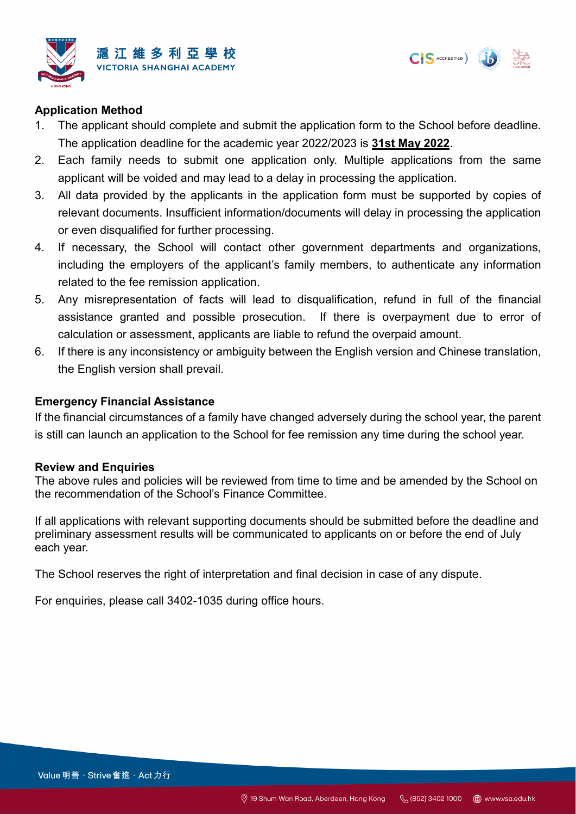



## **Application Method**

- 1. The applicant should complete and submit the application form to the School before deadline. The application deadline for the academic year 2022/2023 is **31st May 2022**.
- 2. Each family needs to submit one application only. Multiple applications from the same applicant will be voided and may lead to a delay in processing the application.
- 3. All data provided by the applicants in the application form must be supported by copies of relevant documents. Insufficient information/documents will delay in processing the application or even disqualified for further processing.
- 4. If necessary, the School will contact other government departments and organizations, including the employers of the applicant's family members, to authenticate any information related to the fee remission application.
- 5. Any misrepresentation of facts will lead to disqualification, refund in full of the financial assistance granted and possible prosecution. If there is overpayment due to error of calculation or assessment, applicants are liable to refund the overpaid amount.
- 6. If there is any inconsistency or ambiguity between the English version and Chinese translation, the English version shall prevail.

## **Emergency Financial Assistance**

If the financial circumstances of a family have changed adversely during the school year, the parent is still can launch an application to the School for fee remission any time during the school year.

### **Review and Enquiries**

The above rules and policies will be reviewed from time to time and be amended by the School on the recommendation of the School's Finance Committee.

If all applications with relevant supporting documents should be submitted before the deadline and preliminary assessment results will be communicated to applicants on or before the end of July each year.

The School reserves the right of interpretation and final decision in case of any dispute.

For enquiries, please call 3402-1035 during office hours.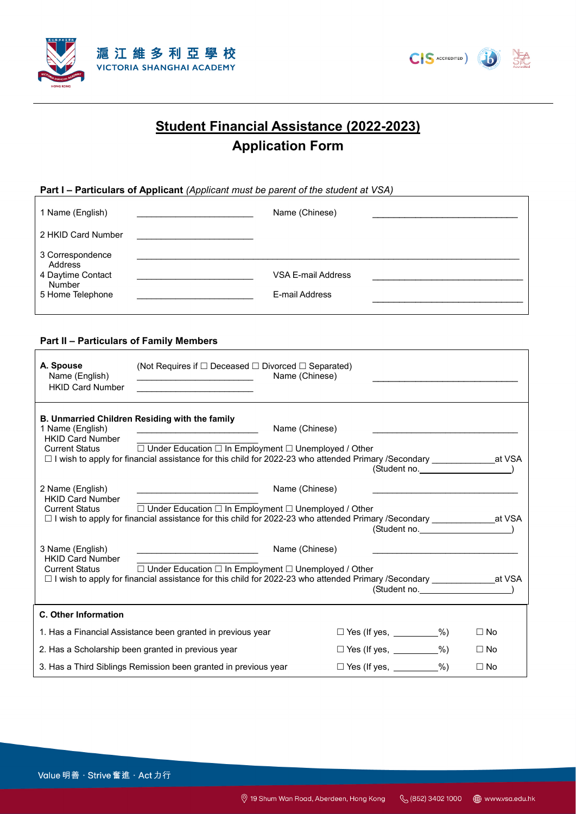



## **Student Financial Assistance (2022-2023) Application Form**

#### **Part I – Particulars of Applicant** *(Applicant must be parent of the student at VSA)*

| 1 Name (English)                                                               | Name (Chinese)                       |  |
|--------------------------------------------------------------------------------|--------------------------------------|--|
| 2 HKID Card Number                                                             |                                      |  |
| 3 Correspondence<br>Address<br>4 Daytime Contact<br>Number<br>5 Home Telephone | VSA E-mail Address<br>E-mail Address |  |

#### **Part II – Particulars of Family Members**

 $\mathbf{r}$ 

| A. Spouse<br>Name (English)<br><b>HKID Card Number</b>               | (Not Requires if $\Box$ Deceased $\Box$ Divorced $\Box$ Separated)                                                                                                                                                                                      | Name (Chinese)                  |                                 |           |
|----------------------------------------------------------------------|---------------------------------------------------------------------------------------------------------------------------------------------------------------------------------------------------------------------------------------------------------|---------------------------------|---------------------------------|-----------|
| 1 Name (English)<br><b>HKID Card Number</b>                          | <b>B. Unmarried Children Residing with the family</b><br><u> 1999 - Johann Harry Harry Harry Harry Harry Harry Harry Harry Harry Harry Harry Harry Harry Harry Harry Harry</u><br>Current Status □ Under Education □ In Employment □ Unemployed / Other | Name (Chinese)                  | (Student no. )                  |           |
| 2 Name (English)<br><b>HKID Card Number</b><br><b>Current Status</b> | □ Under Education □ In Employment □ Unemployed / Other<br>□ I wish to apply for financial assistance for this child for 2022-23 who attended Primary /Secondary _________________at VSA                                                                 | Name (Chinese)                  | (Student no.                    |           |
| 3 Name (English)<br><b>HKID Card Number</b><br><b>Current Status</b> | □ Under Education □ In Employment □ Unemployed / Other<br>□ I wish to apply for financial assistance for this child for 2022-23 who attended Primary /Secondary _________________at VSA                                                                 | Name (Chinese)                  | (Student no. )                  |           |
| C. Other Information                                                 |                                                                                                                                                                                                                                                         |                                 |                                 |           |
|                                                                      | 1. Has a Financial Assistance been granted in previous year                                                                                                                                                                                             |                                 | $\Box$ Yes (If yes, _________%) | $\Box$ No |
| 2. Has a Scholarship been granted in previous year                   |                                                                                                                                                                                                                                                         | $\Box$ Yes (If yes, _________%) | $\Box$ No                       |           |
|                                                                      | 3. Has a Third Siblings Remission been granted in previous year                                                                                                                                                                                         |                                 | $\Box$ Yes (If yes, _________%) | $\Box$ No |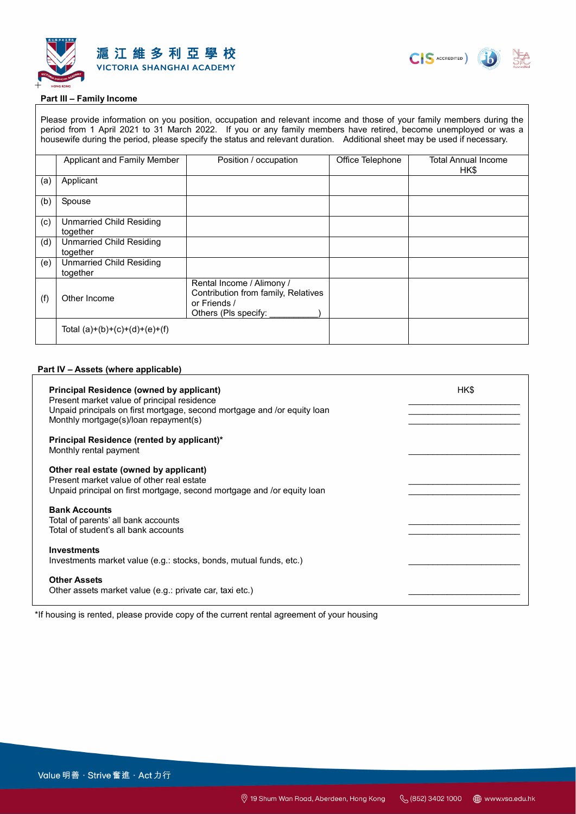



#### **Part III – Family Income**

Please provide information on you position, occupation and relevant income and those of your family members during the period from 1 April 2021 to 31 March 2022. If you or any family members have retired, become unemployed or was a housewife during the period, please specify the status and relevant duration. Additional sheet may be used if necessary.

|     | Applicant and Family Member                 | Position / occupation                                                                                    | Office Telephone | <b>Total Annual Income</b><br>HK\$ |
|-----|---------------------------------------------|----------------------------------------------------------------------------------------------------------|------------------|------------------------------------|
| (a) | Applicant                                   |                                                                                                          |                  |                                    |
| (b) | Spouse                                      |                                                                                                          |                  |                                    |
| (c) | <b>Unmarried Child Residing</b><br>together |                                                                                                          |                  |                                    |
| (d) | <b>Unmarried Child Residing</b><br>together |                                                                                                          |                  |                                    |
| (e) | <b>Unmarried Child Residing</b><br>together |                                                                                                          |                  |                                    |
| (f) | Other Income                                | Rental Income / Alimony /<br>Contribution from family, Relatives<br>or Friends /<br>Others (Pls specify: |                  |                                    |
|     | Total $(a)+(b)+(c)+(d)+(e)+(f)$             |                                                                                                          |                  |                                    |

#### **Part IV – Assets (where applicable)**

| <b>Principal Residence (owned by applicant)</b><br>Present market value of principal residence<br>Unpaid principals on first mortgage, second mortgage and /or equity loan<br>Monthly mortgage(s)/loan repayment(s) | HK\$ |
|---------------------------------------------------------------------------------------------------------------------------------------------------------------------------------------------------------------------|------|
| Principal Residence (rented by applicant)*<br>Monthly rental payment                                                                                                                                                |      |
| Other real estate (owned by applicant)<br>Present market value of other real estate<br>Unpaid principal on first mortgage, second mortgage and /or equity loan                                                      |      |
| <b>Bank Accounts</b><br>Total of parents' all bank accounts<br>Total of student's all bank accounts                                                                                                                 |      |
| <b>Investments</b><br>Investments market value (e.g.: stocks, bonds, mutual funds, etc.)                                                                                                                            |      |
| <b>Other Assets</b><br>Other assets market value (e.g.: private car, taxi etc.)                                                                                                                                     |      |

\*If housing is rented, please provide copy of the current rental agreement of your housing